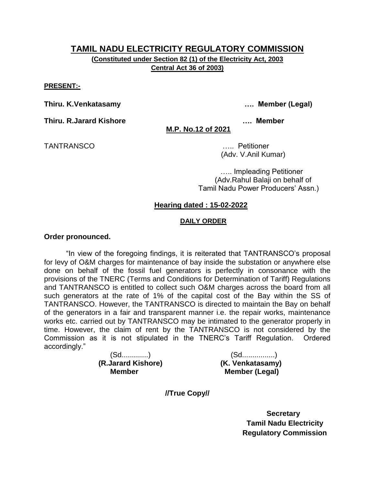**(Constituted under Section 82 (1) of the Electricity Act, 2003 Central Act 36 of 2003)**

#### **PRESENT:-**

**Thiru. K.Venkatasamy …. Member (Legal)**

**Thiru. R.Jarard Kishore …. Member** 

**M.P. No.12 of 2021**

TANTRANSCO ….. Petitioner

(Adv. V.Anil Kumar)

….. Impleading Petitioner (Adv.Rahul Balaji on behalf of Tamil Nadu Power Producers' Assn.)

#### **Hearing dated : 15-02-2022**

#### **DAILY ORDER**

#### **Order pronounced.**

"In view of the foregoing findings, it is reiterated that TANTRANSCO's proposal for levy of O&M charges for maintenance of bay inside the substation or anywhere else done on behalf of the fossil fuel generators is perfectly in consonance with the provisions of the TNERC (Terms and Conditions for Determination of Tariff) Regulations and TANTRANSCO is entitled to collect such O&M charges across the board from all such generators at the rate of 1% of the capital cost of the Bay within the SS of TANTRANSCO. However, the TANTRANSCO is directed to maintain the Bay on behalf of the generators in a fair and transparent manner i.e. the repair works, maintenance works etc. carried out by TANTRANSCO may be intimated to the generator properly in time. However, the claim of rent by the TANTRANSCO is not considered by the Commission as it is not stipulated in the TNERC's Tariff Regulation. Ordered accordingly."

 **(R.Jarard Kishore) (K. Venkatasamy)** 

(Sd.............) (Sd................) **Member Member (Legal)** 

**//True Copy//**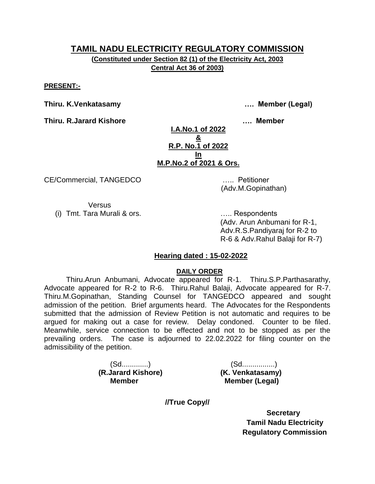**(Constituted under Section 82 (1) of the Electricity Act, 2003 Central Act 36 of 2003)**

**PRESENT:-**

**Thiru. K.Venkatasamy …. Member (Legal)**

**Thiru. R.Jarard Kishore …. Member** 

**I.A.No.1 of 2022 & R.P. No.1 of 2022 In M.P.No.2 of 2021 & Ors.**

CE/Commercial, TANGEDCO ….. Petitioner

(Adv.M.Gopinathan)

Versus (i) Tmt. Tara Murali & ors. ….. Respondents

(Adv. Arun Anbumani for R-1, Adv.R.S.Pandiyaraj for R-2 to R-6 & Adv.Rahul Balaji for R-7)

## **Hearing dated : 15-02-2022**

#### **DAILY ORDER**

Thiru.Arun Anbumani, Advocate appeared for R-1. Thiru.S.P.Parthasarathy, Advocate appeared for R-2 to R-6. Thiru.Rahul Balaji, Advocate appeared for R-7. Thiru.M.Gopinathan, Standing Counsel for TANGEDCO appeared and sought admission of the petition. Brief arguments heard. The Advocates for the Respondents submitted that the admission of Review Petition is not automatic and requires to be argued for making out a case for review. Delay condoned. Counter to be filed. Meanwhile, service connection to be effected and not to be stopped as per the prevailing orders. The case is adjourned to 22.02.2022 for filing counter on the admissibility of the petition.

 **(R.Jarard Kishore) (K. Venkatasamy)** 

(Sd.............) (Sd................) **Member Member (Legal)** 

**//True Copy//**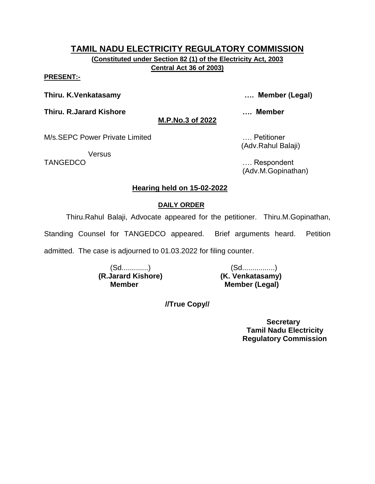**(Constituted under Section 82 (1) of the Electricity Act, 2003 Central Act 36 of 2003)**

**M.P.No.3 of 2022**

#### **PRESENT:-**

**Thiru. K.Venkatasamy …. Member (Legal)**

**Thiru. R.Jarard Kishore …. Member** 

Versus

M/s.SEPC Power Private Limited …. Petitioner (Adv.Rahul Balaji)

TANGEDCO …. Respondent (Adv.M.Gopinathan)

#### **Hearing held on 15-02-2022**

#### **DAILY ORDER**

Thiru.Rahul Balaji, Advocate appeared for the petitioner. Thiru.M.Gopinathan,

Standing Counsel for TANGEDCO appeared. Brief arguments heard. Petition

admitted. The case is adjourned to 01.03.2022 for filing counter.

 **(R.Jarard Kishore) (K. Venkatasamy)** 

(Sd.............) (Sd................) **Member Member (Legal)** 

**//True Copy//**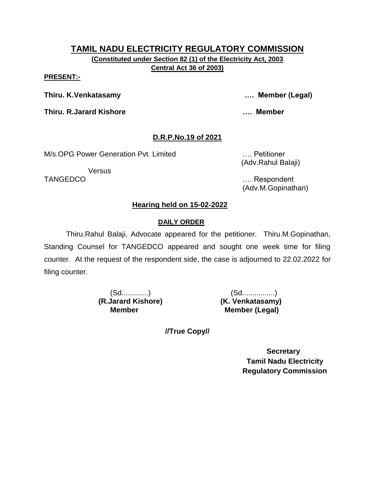**(Constituted under Section 82 (1) of the Electricity Act, 2003 Central Act 36 of 2003)**

#### **PRESENT:-**

**Thiru. K.Venkatasamy …. Member (Legal)**

**Thiru. R.Jarard Kishore …. Member** 

# **D.R.P.No.19 of 2021**

M/s.OPG Power Generation Pvt. Limited …. Petitioner

Versus

(Adv.Rahul Balaji)

TANGEDCO …. Respondent (Adv.M.Gopinathan)

# **Hearing held on 15-02-2022**

# **DAILY ORDER**

Thiru.Rahul Balaji, Advocate appeared for the petitioner. Thiru.M.Gopinathan, Standing Counsel for TANGEDCO appeared and sought one week time for filing counter. At the request of the respondent side, the case is adjourned to 22.02.2022 for filing counter.

 **(R.Jarard Kishore) (K. Venkatasamy)** 

(Sd.............) (Sd................) **Member Member (Legal)** 

**//True Copy//**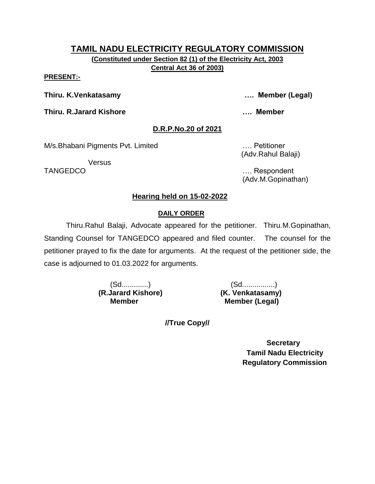**Central Act 36 of 2003)**

#### **PRESENT:-**

**Thiru. K.Venkatasamy …. Member (Legal)**

**Thiru. R.Jarard Kishore …. Member** 

## **D.R.P.No.20 of 2021**

M/s.Bhabani Pigments Pvt. Limited …. Petitioner

**Versus** 

(Adv.Rahul Balaji)

TANGEDCO …. Respondent (Adv.M.Gopinathan)

# **Hearing held on 15-02-2022**

# **DAILY ORDER**

Thiru.Rahul Balaji, Advocate appeared for the petitioner. Thiru.M.Gopinathan, Standing Counsel for TANGEDCO appeared and filed counter. The counsel for the petitioner prayed to fix the date for arguments. At the request of the petitioner side, the case is adjourned to 01.03.2022 for arguments.

 **(R.Jarard Kishore) (K. Venkatasamy)** 

(Sd.............) (Sd................) **Member Member (Legal)** 

**//True Copy//**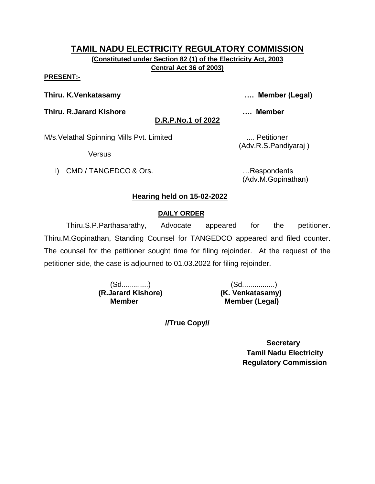**Central Act 36 of 2003)**

#### **PRESENT:-**

**Thiru. K.Venkatasamy …. Member (Legal)**

**Thiru. R.Jarard Kishore …. Member** 

**D.R.P.No.1 of 2022**

(Adv.R.S.Pandiyaraj )

M/s. Velathal Spinning Mills Pvt. Limited .... Petitioner

Versus

i) CMD / TANGEDCO & Ors. **EXECUTE:** Respondents

(Adv.M.Gopinathan)

## **Hearing held on 15-02-2022**

#### **DAILY ORDER**

Thiru.S.P.Parthasarathy, Advocate appeared for the petitioner. Thiru.M.Gopinathan, Standing Counsel for TANGEDCO appeared and filed counter. The counsel for the petitioner sought time for filing rejoinder. At the request of the petitioner side, the case is adjourned to 01.03.2022 for filing rejoinder.

 **(R.Jarard Kishore) (K. Venkatasamy)** 

(Sd.............) (Sd................) **Member Member (Legal)** 

**//True Copy//**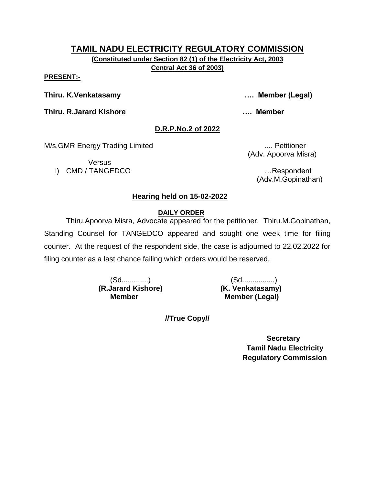**Central Act 36 of 2003)**

#### **PRESENT:-**

**Thiru. K.Venkatasamy …. Member (Legal)**

**Thiru. R.Jarard Kishore …. Member** 

## **D.R.P.No.2 of 2022**

M/s.GMR Energy Trading Limited ..... Petitioner

Versus i) CMD / TANGEDCO …Respondent

(Adv. Apoorva Misra)

(Adv.M.Gopinathan)

# **Hearing held on 15-02-2022**

## **DAILY ORDER**

Thiru.Apoorva Misra, Advocate appeared for the petitioner. Thiru.M.Gopinathan, Standing Counsel for TANGEDCO appeared and sought one week time for filing counter. At the request of the respondent side, the case is adjourned to 22.02.2022 for filing counter as a last chance failing which orders would be reserved.

 **(R.Jarard Kishore) (K. Venkatasamy)** 

(Sd.............) (Sd................) **Member Member (Legal)** 

**//True Copy//**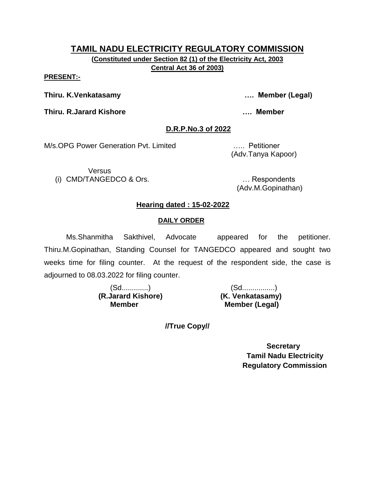**Central Act 36 of 2003)**

#### **PRESENT:-**

**Thiru. K.Venkatasamy …. Member (Legal)**

**Thiru. R.Jarard Kishore …. Member** 

## **D.R.P.No.3 of 2022**

M/s.OPG Power Generation Pvt. Limited ….. Petitioner

**Versus** (i) CMD/TANGEDCO & Ors. … Respondents

(Adv.Tanya Kapoor)

(Adv.M.Gopinathan)

# **Hearing dated : 15-02-2022**

# **DAILY ORDER**

Ms.Shanmitha Sakthivel, Advocate appeared for the petitioner. Thiru.M.Gopinathan, Standing Counsel for TANGEDCO appeared and sought two weeks time for filing counter. At the request of the respondent side, the case is adjourned to 08.03.2022 for filing counter.

 **(R.Jarard Kishore) (K. Venkatasamy)** 

(Sd.............) (Sd................) **Member Member (Legal)** 

**//True Copy//**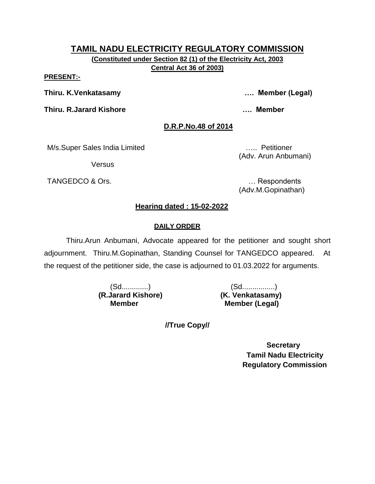**(Constituted under Section 82 (1) of the Electricity Act, 2003 Central Act 36 of 2003)**

#### **PRESENT:-**

**Thiru. K.Venkatasamy …. Member (Legal)**

**Thiru. R.Jarard Kishore …. Member**

# **D.R.P.No.48 of 2014**

M/s.Super Sales India Limited ….. Petitioner

Versus

TANGEDCO & Ors. **Example 20** and the contract of the contract of the contract of the contract of the contract of the contract of the contract of the contract of the contract of the contract of the contract of the contract

(Adv. Arun Anbumani)

(Adv.M.Gopinathan)

# **Hearing dated : 15-02-2022**

# **DAILY ORDER**

Thiru.Arun Anbumani, Advocate appeared for the petitioner and sought short adjournment. Thiru.M.Gopinathan, Standing Counsel for TANGEDCO appeared. At the request of the petitioner side, the case is adjourned to 01.03.2022 for arguments.

 **(R.Jarard Kishore) (K. Venkatasamy)** 

(Sd.............) (Sd................) **Member Member (Legal)** 

**//True Copy//**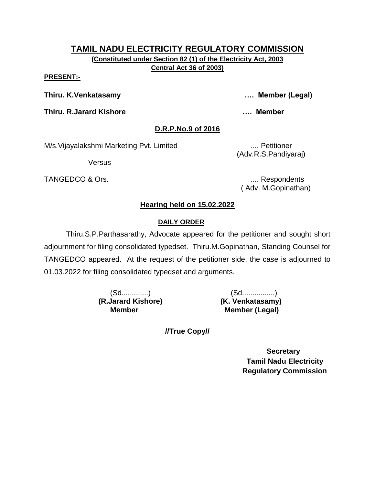#### **PRESENT:-**

**Thiru. K.Venkatasamy …. Member (Legal)**

**Thiru. R.Jarard Kishore …. Member** 

## **D.R.P.No.9 of 2016**

M/s. Vijayalakshmi Marketing Pvt. Limited .... Petitioner

Versus

TANGEDCO & Ors.  $\qquad \qquad \ldots$  Respondents

(Adv.R.S.Pandiyaraj)

( Adv. M.Gopinathan)

## **Hearing held on 15.02.2022**

## **DAILY ORDER**

Thiru.S.P.Parthasarathy, Advocate appeared for the petitioner and sought short adjournment for filing consolidated typedset. Thiru.M.Gopinathan, Standing Counsel for TANGEDCO appeared. At the request of the petitioner side, the case is adjourned to 01.03.2022 for filing consolidated typedset and arguments.

 **(R.Jarard Kishore) (K. Venkatasamy)** 

(Sd.............) (Sd................) **Member Member (Legal)** 

**//True Copy//**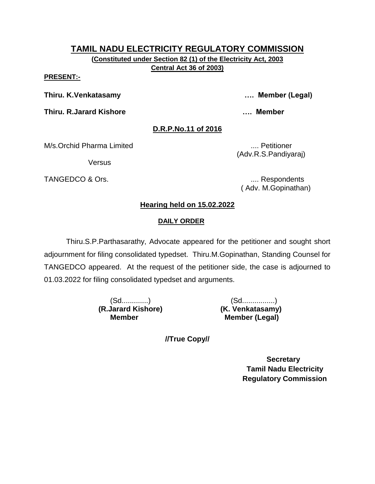**(Constituted under Section 82 (1) of the Electricity Act, 2003 Central Act 36 of 2003)**

#### **PRESENT:-**

**Thiru. K.Venkatasamy …. Member (Legal)**

**Thiru. R.Jarard Kishore …. Member** 

## **D.R.P.No.11 of 2016**

M/s.Orchid Pharma Limited .... Petitioner

**Versus** 

TANGEDCO & Ors. .... Respondents

(Adv.R.S.Pandiyaraj)

( Adv. M.Gopinathan)

# **Hearing held on 15.02.2022**

# **DAILY ORDER**

Thiru.S.P.Parthasarathy, Advocate appeared for the petitioner and sought short adjournment for filing consolidated typedset. Thiru.M.Gopinathan, Standing Counsel for TANGEDCO appeared. At the request of the petitioner side, the case is adjourned to 01.03.2022 for filing consolidated typedset and arguments.

 **(R.Jarard Kishore) (K. Venkatasamy)** 

(Sd.............) (Sd................) **Member Member (Legal)** 

**//True Copy//**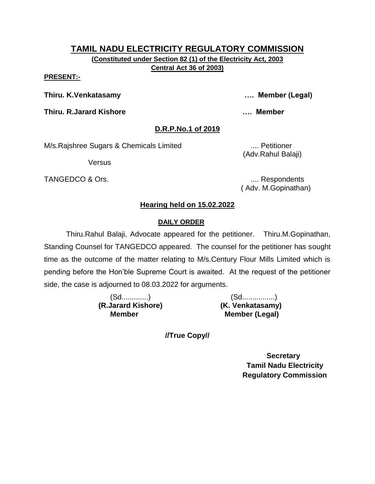#### **PRESENT:-**

**Thiru. K.Venkatasamy …. Member (Legal)**

**Thiru. R.Jarard Kishore …. Member** 

## **D.R.P.No.1 of 2019**

M/s.Rajshree Sugars & Chemicals Limited .... Petitioner

Versus

TANGEDCO & Ors. .... Respondents

(Adv.Rahul Balaji)

( Adv. M.Gopinathan)

# **Hearing held on 15.02.2022**

## **DAILY ORDER**

Thiru.Rahul Balaji, Advocate appeared for the petitioner. Thiru.M.Gopinathan, Standing Counsel for TANGEDCO appeared. The counsel for the petitioner has sought time as the outcome of the matter relating to M/s.Century Flour Mills Limited which is pending before the Hon'ble Supreme Court is awaited. At the request of the petitioner side, the case is adjourned to 08.03.2022 for arguments.

|                    | (Sd……………)        |
|--------------------|------------------|
| (R.Jarard Kishore) | (K. Venkatasamy) |
| Member             | Member (Legal)   |

**//True Copy//**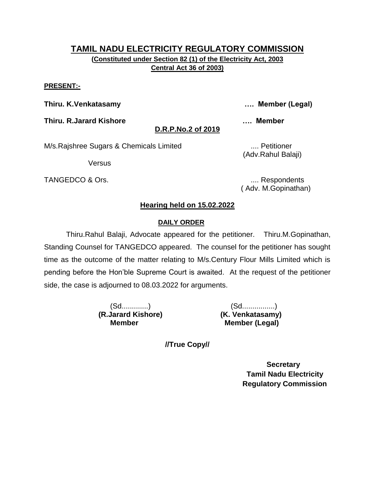#### **PRESENT:-**

**Thiru. K.Venkatasamy …. Member (Legal)**

**Thiru. R.Jarard Kishore …. Member** 

**D.R.P.No.2 of 2019**

M/s.Rajshree Sugars & Chemicals Limited .... Petitioner

Versus

TANGEDCO & Ors. .... Respondents

(Adv.Rahul Balaji)

( Adv. M.Gopinathan)

## **Hearing held on 15.02.2022**

## **DAILY ORDER**

Thiru.Rahul Balaji, Advocate appeared for the petitioner. Thiru.M.Gopinathan, Standing Counsel for TANGEDCO appeared. The counsel for the petitioner has sought time as the outcome of the matter relating to M/s.Century Flour Mills Limited which is pending before the Hon'ble Supreme Court is awaited. At the request of the petitioner side, the case is adjourned to 08.03.2022 for arguments.

 **(R.Jarard Kishore) (K. Venkatasamy)** 

(Sd.............) (Sd................) **Member Member (Legal)** 

**//True Copy//**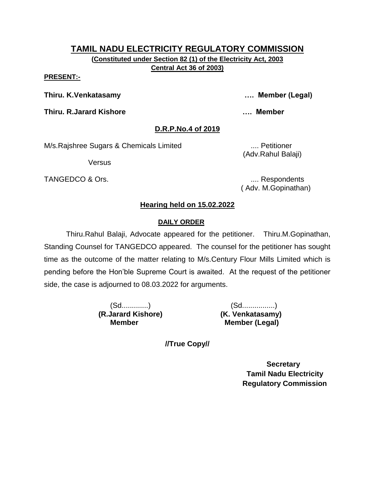#### **PRESENT:-**

**Thiru. K.Venkatasamy …. Member (Legal)**

**Thiru. R.Jarard Kishore …. Member** 

## **D.R.P.No.4 of 2019**

M/s.Rajshree Sugars & Chemicals Limited .... Petitioner

Versus

TANGEDCO & Ors.  $\qquad \qquad \ldots$  Respondents

(Adv.Rahul Balaji)

( Adv. M.Gopinathan)

# **Hearing held on 15.02.2022**

## **DAILY ORDER**

Thiru.Rahul Balaji, Advocate appeared for the petitioner. Thiru.M.Gopinathan, Standing Counsel for TANGEDCO appeared. The counsel for the petitioner has sought time as the outcome of the matter relating to M/s.Century Flour Mills Limited which is pending before the Hon'ble Supreme Court is awaited. At the request of the petitioner side, the case is adjourned to 08.03.2022 for arguments.

 **(R.Jarard Kishore) (K. Venkatasamy)** 

(Sd.............) (Sd................) **Member Member (Legal)** 

**//True Copy//**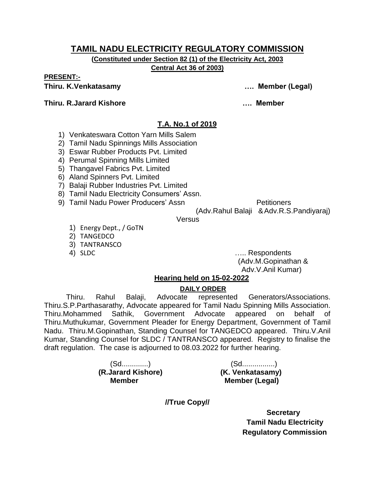**(Constituted under Section 82 (1) of the Electricity Act, 2003 Central Act 36 of 2003)**

**PRESENT:-**

**Thiru. R.Jarard Kishore …. Member** 

**Thiru. K.Venkatasamy …. Member (Legal)**

# **T.A. No.1 of 2019**

- 1) Venkateswara Cotton Yarn Mills Salem
- 2) Tamil Nadu Spinnings Mills Association
- 3) Eswar Rubber Products Pvt. Limited
- 4) Perumal Spinning Mills Limited
- 5) Thangavel Fabrics Pvt. Limited
- 6) Aland Spinners Pvt. Limited
- 7) Balaji Rubber Industries Pvt. Limited
- 8) Tamil Nadu Electricity Consumers' Assn.
- 9) Tamil Nadu Power Producers' Assn Petitioners

(Adv.Rahul Balaji & Adv.R.S.Pandiyaraj)

**Versus** 

- 1) Energy Dept., / GoTN
- 2) TANGEDCO
- 3) TANTRANSCO
- 

4) SLDC ….. Respondents (Adv.M.Gopinathan & Adv.V.Anil Kumar)

#### **Hearing held on 15-02-2022**

#### **DAILY ORDER**

Thiru. Rahul Balaji, Advocate represented Generators/Associations. Thiru.S.P.Parthasarathy, Advocate appeared for Tamil Nadu Spinning Mills Association. Thiru.Mohammed Sathik, Government Advocate appeared on behalf of Thiru.Muthukumar, Government Pleader for Energy Department, Government of Tamil Nadu. Thiru.M.Gopinathan, Standing Counsel for TANGEDCO appeared. Thiru.V.Anil Kumar, Standing Counsel for SLDC / TANTRANSCO appeared. Registry to finalise the draft regulation. The case is adjourned to 08.03.2022 for further hearing.

 **(R.Jarard Kishore) (K. Venkatasamy)** 

(Sd.............) (Sd................) **Member Member (Legal)** 

**//True Copy//**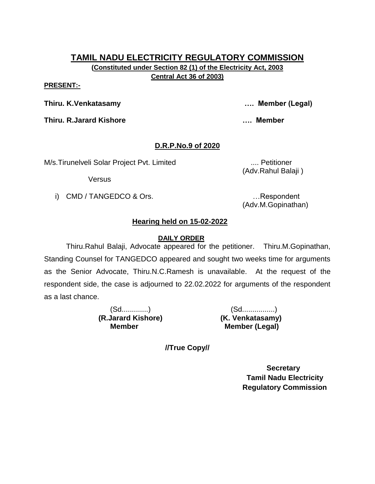**(Constituted under Section 82 (1) of the Electricity Act, 2003 Central Act 36 of 2003)**

#### **PRESENT:-**

**Thiru. K.Venkatasamy …. Member (Legal)**

**Thiru. R.Jarard Kishore …. Member** 

# **D.R.P.No.9 of 2020**

M/s.Tirunelveli Solar Project Pvt. Limited .... Petitioner

Versus

i) CMD / TANGEDCO & Ors. **Example 20** in the second control of the second control of the second control of the second control of the second control of the second control of the second control of the second control of the s

(Adv.Rahul Balaji )

(Adv.M.Gopinathan)

# **Hearing held on 15-02-2022**

# **DAILY ORDER**

Thiru.Rahul Balaji, Advocate appeared for the petitioner. Thiru.M.Gopinathan, Standing Counsel for TANGEDCO appeared and sought two weeks time for arguments as the Senior Advocate, Thiru.N.C.Ramesh is unavailable. At the request of the respondent side, the case is adjourned to 22.02.2022 for arguments of the respondent as a last chance.

 **(R.Jarard Kishore) (K. Venkatasamy)** 

(Sd.............) (Sd................) **Member Member (Legal)** 

**//True Copy//**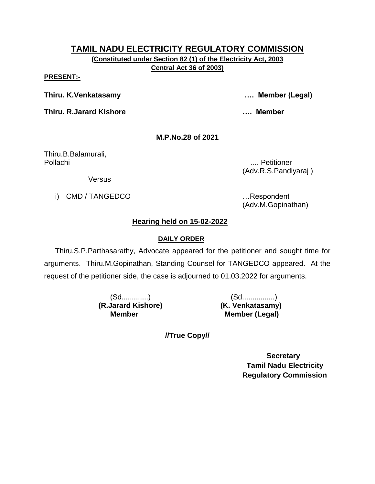**(Constituted under Section 82 (1) of the Electricity Act, 2003 Central Act 36 of 2003)**

#### **PRESENT:-**

**Thiru. K.Venkatasamy …. Member (Legal)**

**Thiru. R.Jarard Kishore …. Member** 

# **M.P.No.28 of 2021**

Thiru.B.Balamurali, Pollachi .... Petitioner

(Adv.R.S.Pandiyaraj )

**Versus** 

i) CMD / TANGEDCO …Respondent

(Adv.M.Gopinathan)

# **Hearing held on 15-02-2022**

## **DAILY ORDER**

Thiru.S.P.Parthasarathy, Advocate appeared for the petitioner and sought time for arguments. Thiru.M.Gopinathan, Standing Counsel for TANGEDCO appeared. At the request of the petitioner side, the case is adjourned to 01.03.2022 for arguments.

 **(R.Jarard Kishore) (K. Venkatasamy)** 

(Sd.............) (Sd................) **Member (Legal)** 

**//True Copy//**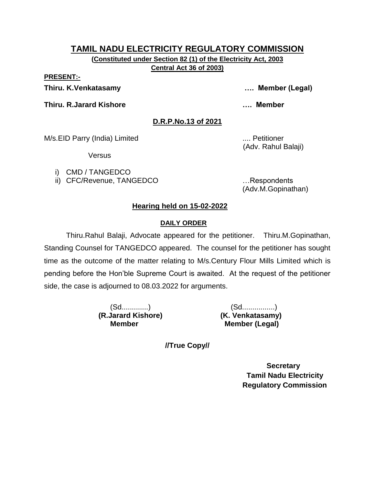**(Constituted under Section 82 (1) of the Electricity Act, 2003 Central Act 36 of 2003)**

**PRESENT:-**

**Thiru. K.Venkatasamy …. Member (Legal)**

**Thiru. R.Jarard Kishore …. Member** 

**D.R.P.No.13 of 2021**

M/s.EID Parry (India) Limited .... Petitioner

**Versus** 

- i) CMD / TANGEDCO
- ii) CFC/Revenue, TANGEDCO …Respondents

(Adv.M.Gopinathan)

(Adv. Rahul Balaji)

# **Hearing held on 15-02-2022**

# **DAILY ORDER**

Thiru.Rahul Balaji, Advocate appeared for the petitioner. Thiru.M.Gopinathan, Standing Counsel for TANGEDCO appeared. The counsel for the petitioner has sought time as the outcome of the matter relating to M/s.Century Flour Mills Limited which is pending before the Hon'ble Supreme Court is awaited. At the request of the petitioner side, the case is adjourned to 08.03.2022 for arguments.

 **(R.Jarard Kishore) (K. Venkatasamy)** 

(Sd.............) (Sd................) **Member Member (Legal)** 

**//True Copy//**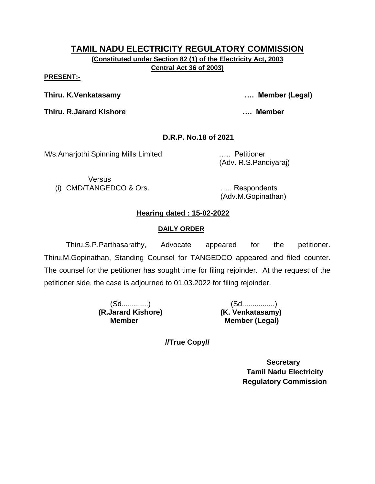#### **PRESENT:-**

**Thiru. K.Venkatasamy …. Member (Legal)**

**Thiru. R.Jarard Kishore …. Member** 

# **D.R.P. No.18 of 2021**

M/s.Amarjothi Spinning Mills Limited ….. Petitioner

(Adv. R.S.Pandiyaraj)

**Versus** (i) CMD/TANGEDCO & Ors. ….. Respondents

(Adv.M.Gopinathan)

## **Hearing dated : 15-02-2022**

#### **DAILY ORDER**

Thiru.S.P.Parthasarathy, Advocate appeared for the petitioner. Thiru.M.Gopinathan, Standing Counsel for TANGEDCO appeared and filed counter. The counsel for the petitioner has sought time for filing rejoinder. At the request of the petitioner side, the case is adjourned to 01.03.2022 for filing rejoinder.

 **(R.Jarard Kishore) (K. Venkatasamy)** 

(Sd.............) (Sd................) **Member Member (Legal)** 

**//True Copy//**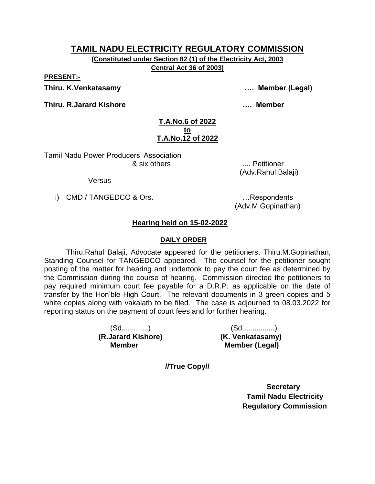**(Constituted under Section 82 (1) of the Electricity Act, 2003 Central Act 36 of 2003)**

**PRESENT:-**

**Thiru. K.Venkatasamy …. Member (Legal)**

**Thiru. R.Jarard Kishore …. Member** 

#### **T.A.No.6 of 2022 to T.A.No.12 of 2022**

Tamil Nadu Power Producers' Association & six others .... Petitioner

Versus

i) CMD / TANGEDCO & Ors. **Example 20** in the second control of the second control of the second control of the second control of the second control of the second control of the second control of the second control of the s

(Adv.M.Gopinathan)

(Adv.Rahul Balaji)

# **Hearing held on 15-02-2022**

#### **DAILY ORDER**

Thiru.Rahul Balaji, Advocate appeared for the petitioners. Thiru.M.Gopinathan, Standing Counsel for TANGEDCO appeared. The counsel for the petitioner sought posting of the matter for hearing and undertook to pay the court fee as determined by the Commission during the course of hearing. Commission directed the petitioners to pay required minimum court fee payable for a D.R.P. as applicable on the date of transfer by the Hon'ble High Court. The relevant documents in 3 green copies and 5 white copies along with vakalath to be filed. The case is adjourned to 08.03.2022 for reporting status on the payment of court fees and for further hearing.

 **(R.Jarard Kishore) (K. Venkatasamy)** 

(Sd.............) (Sd................) **Member Member (Legal)** 

**//True Copy//**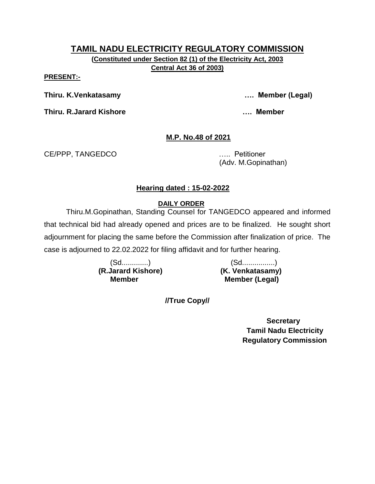**(Constituted under Section 82 (1) of the Electricity Act, 2003 Central Act 36 of 2003)**

#### **PRESENT:-**

**Thiru. K.Venkatasamy …. Member (Legal)**

**Thiru. R.Jarard Kishore …. Member** 

# **M.P. No.48 of 2021**

CE/PPP, TANGEDCO ….. Petitioner

(Adv. M.Gopinathan)

# **Hearing dated : 15-02-2022**

# **DAILY ORDER**

Thiru.M.Gopinathan, Standing Counsel for TANGEDCO appeared and informed that technical bid had already opened and prices are to be finalized. He sought short adjournment for placing the same before the Commission after finalization of price. The case is adjourned to 22.02.2022 for filing affidavit and for further hearing.

**(R.Jarard Kishore)** 

(Sd.............)<br>Jarard Kishore) (K. Venkatasamy) **Member Member (Legal)** 

**//True Copy//**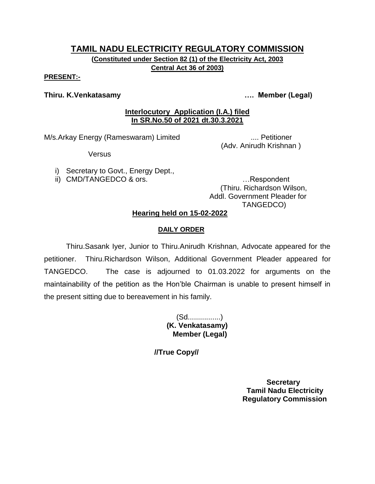#### **PRESENT:-**

#### **Thiru. K.Venkatasamy …. Member (Legal)**

#### **Interlocutory Application (I.A.) filed In SR.No.50 of 2021 dt.30.3.2021**

M/s.Arkay Energy (Rameswaram) Limited ..... Petitioner

Versus

- (Adv. Anirudh Krishnan )
- i) Secretary to Govt., Energy Dept.,
- ii) CMD/TANGEDCO & ors. **EXECUTE:** 1. Respondent

(Thiru. Richardson Wilson, Addl. Government Pleader for TANGEDCO)

## **Hearing held on 15-02-2022**

#### **DAILY ORDER**

Thiru.Sasank Iyer, Junior to Thiru.Anirudh Krishnan, Advocate appeared for the petitioner. Thiru.Richardson Wilson, Additional Government Pleader appeared for TANGEDCO. The case is adjourned to 01.03.2022 for arguments on the maintainability of the petition as the Hon'ble Chairman is unable to present himself in the present sitting due to bereavement in his family.

> (Sd................)  **(K. Venkatasamy) Member (Legal)**

**//True Copy//**